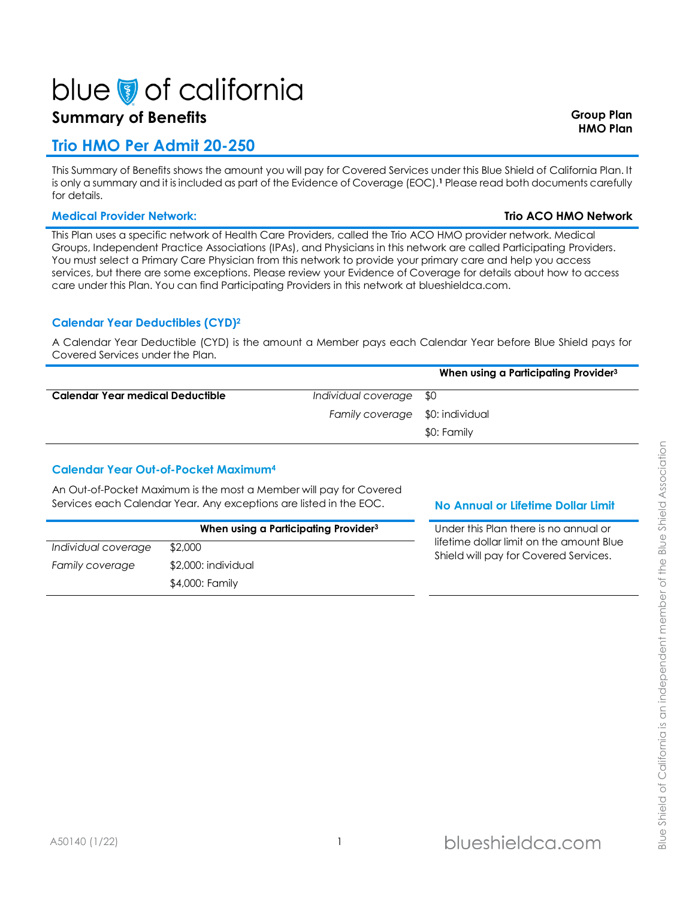# blue of california

# **Summary of Benefits Group Plan**

# **Trio HMO Per Admit 20-250**

This Summary of Benefits shows the amount you will pay for Covered Services under this Blue Shield of California Plan. It is only a summary and it is included as part of the Evidence of Coverage (EOC).**<sup>1</sup>** Please read both documents carefully for details.

### **Medical Provider Network: Trio ACO HMO Network**

This Plan uses a specific network of Health Care Providers, called the Trio ACO HMO provider network. Medical Groups, Independent Practice Associations (IPAs), and Physicians in this network are called Participating Providers. You must select a Primary Care Physician from this network to provide your primary care and help you access services, but there are some exceptions. Please review your Evidence of Coverage for details about how to access care under this Plan. You can find Participating Providers in this network at blueshieldca.com.

## **Calendar Year Deductibles (CYD)<sup>2</sup>**

A Calendar Year Deductible (CYD) is the amount a Member pays each Calendar Year before Blue Shield pays for Covered Services under the Plan.

|                                  |                                 | When using a Participating Provider <sup>3</sup> |
|----------------------------------|---------------------------------|--------------------------------------------------|
| Calendar Year medical Deductible | Individual coverage \$0         |                                                  |
|                                  | Family coverage \$0: individual |                                                  |
|                                  |                                 | \$0: Family                                      |

## **Calendar Year Out-of-Pocket Maximum<sup>4</sup>**

An Out-of-Pocket Maximum is the most a Member will pay for Covered Services each Calendar Year. Any exceptions are listed in the EOC. **No Annual or Lifetime Dollar Limit** 

|                     | When using a Participating Provider <sup>3</sup> |  |
|---------------------|--------------------------------------------------|--|
| Individual coverage | \$2,000                                          |  |
| Family coverage     | \$2,000: individual                              |  |
|                     | \$4,000: Family                                  |  |

**When using a Participating Provider<sup>3</sup>** Under this Plan there is no annual or time dollar limit on the amount Blue ield will pay for Covered Services.

**HMO Plan**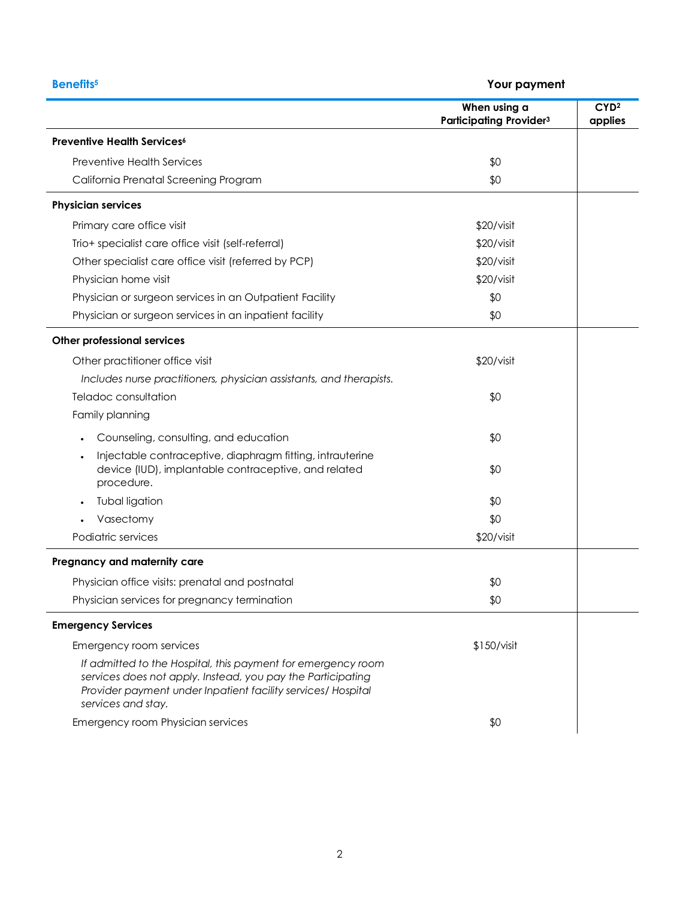| <b>Benefits<sup>5</sup></b><br>Your payment                                                                                                                                                                       |                                                |                             |
|-------------------------------------------------------------------------------------------------------------------------------------------------------------------------------------------------------------------|------------------------------------------------|-----------------------------|
|                                                                                                                                                                                                                   | When using a<br><b>Participating Provider3</b> | CYD <sup>2</sup><br>applies |
| <b>Preventive Health Services</b> <sup>6</sup>                                                                                                                                                                    |                                                |                             |
| <b>Preventive Health Services</b>                                                                                                                                                                                 | \$0                                            |                             |
| California Prenatal Screening Program                                                                                                                                                                             | \$0                                            |                             |
| <b>Physician services</b>                                                                                                                                                                                         |                                                |                             |
| Primary care office visit                                                                                                                                                                                         | \$20/visit                                     |                             |
| Trio+ specialist care office visit (self-referral)                                                                                                                                                                | \$20/visit                                     |                             |
| Other specialist care office visit (referred by PCP)                                                                                                                                                              | \$20/visit                                     |                             |
| Physician home visit                                                                                                                                                                                              | \$20/visit                                     |                             |
| Physician or surgeon services in an Outpatient Facility                                                                                                                                                           | \$0                                            |                             |
| Physician or surgeon services in an inpatient facility                                                                                                                                                            | \$0                                            |                             |
| Other professional services                                                                                                                                                                                       |                                                |                             |
| Other practitioner office visit                                                                                                                                                                                   | \$20/visit                                     |                             |
| Includes nurse practitioners, physician assistants, and therapists.                                                                                                                                               |                                                |                             |
| Teladoc consultation                                                                                                                                                                                              | \$0                                            |                             |
| Family planning                                                                                                                                                                                                   |                                                |                             |
| Counseling, consulting, and education                                                                                                                                                                             | \$0                                            |                             |
| Injectable contraceptive, diaphragm fitting, intrauterine<br>$\bullet$<br>device (IUD), implantable contraceptive, and related<br>procedure.                                                                      | \$0                                            |                             |
| Tubal ligation                                                                                                                                                                                                    | \$0                                            |                             |
| Vasectomy                                                                                                                                                                                                         | \$0                                            |                             |
| Podiatric services                                                                                                                                                                                                | \$20/visit                                     |                             |
| Pregnancy and maternity care                                                                                                                                                                                      |                                                |                             |
| Physician office visits: prenatal and postnatal                                                                                                                                                                   | \$0                                            |                             |
| Physician services for pregnancy termination                                                                                                                                                                      | \$0                                            |                             |
| <b>Emergency Services</b>                                                                                                                                                                                         |                                                |                             |
| Emergency room services                                                                                                                                                                                           | \$150/visit                                    |                             |
| If admitted to the Hospital, this payment for emergency room<br>services does not apply. Instead, you pay the Participating<br>Provider payment under Inpatient facility services/ Hospital<br>services and stay. |                                                |                             |
| Emergency room Physician services                                                                                                                                                                                 | \$0                                            |                             |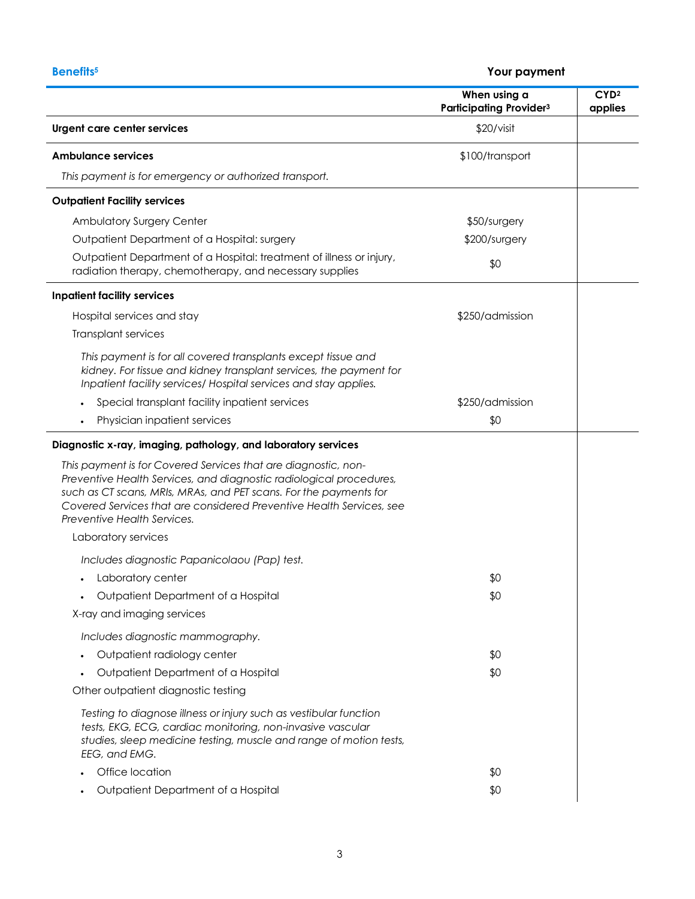# **Benefits<sup>5</sup> Your payment**

|                                                                                                                                                                                                                                                                                                                   | When using a<br><b>Participating Provider3</b> | CYD <sup>2</sup><br>applies |
|-------------------------------------------------------------------------------------------------------------------------------------------------------------------------------------------------------------------------------------------------------------------------------------------------------------------|------------------------------------------------|-----------------------------|
| Urgent care center services                                                                                                                                                                                                                                                                                       | \$20/visit                                     |                             |
| Ambulance services                                                                                                                                                                                                                                                                                                | \$100/transport                                |                             |
| This payment is for emergency or authorized transport.                                                                                                                                                                                                                                                            |                                                |                             |
| <b>Outpatient Facility services</b>                                                                                                                                                                                                                                                                               |                                                |                             |
| Ambulatory Surgery Center                                                                                                                                                                                                                                                                                         | \$50/surgery                                   |                             |
| Outpatient Department of a Hospital: surgery                                                                                                                                                                                                                                                                      | \$200/surgery                                  |                             |
| Outpatient Department of a Hospital: treatment of illness or injury,<br>radiation therapy, chemotherapy, and necessary supplies                                                                                                                                                                                   | \$0                                            |                             |
| <b>Inpatient facility services</b>                                                                                                                                                                                                                                                                                |                                                |                             |
| Hospital services and stay                                                                                                                                                                                                                                                                                        | \$250/admission                                |                             |
| Transplant services                                                                                                                                                                                                                                                                                               |                                                |                             |
| This payment is for all covered transplants except tissue and<br>kidney. For tissue and kidney transplant services, the payment for<br>Inpatient facility services/ Hospital services and stay applies.                                                                                                           |                                                |                             |
| Special transplant facility inpatient services                                                                                                                                                                                                                                                                    | \$250/admission                                |                             |
| Physician inpatient services                                                                                                                                                                                                                                                                                      | \$0                                            |                             |
| Diagnostic x-ray, imaging, pathology, and laboratory services                                                                                                                                                                                                                                                     |                                                |                             |
| This payment is for Covered Services that are diagnostic, non-<br>Preventive Health Services, and diagnostic radiological procedures,<br>such as CT scans, MRIs, MRAs, and PET scans. For the payments for<br>Covered Services that are considered Preventive Health Services, see<br>Preventive Health Services. |                                                |                             |
| Laboratory services                                                                                                                                                                                                                                                                                               |                                                |                             |
| Includes diagnostic Papanicolaou (Pap) test.                                                                                                                                                                                                                                                                      |                                                |                             |
| Laboratory center                                                                                                                                                                                                                                                                                                 | \$0                                            |                             |
| Outpatient Department of a Hospital                                                                                                                                                                                                                                                                               | \$0                                            |                             |
| X-ray and imaging services                                                                                                                                                                                                                                                                                        |                                                |                             |
| Includes diagnostic mammography.                                                                                                                                                                                                                                                                                  |                                                |                             |
| Outpatient radiology center                                                                                                                                                                                                                                                                                       | \$0                                            |                             |
| Outpatient Department of a Hospital                                                                                                                                                                                                                                                                               | \$0                                            |                             |
| Other outpatient diagnostic testing                                                                                                                                                                                                                                                                               |                                                |                             |
| Testing to diagnose illness or injury such as vestibular function<br>tests, EKG, ECG, cardiac monitoring, non-invasive vascular<br>studies, sleep medicine testing, muscle and range of motion tests,<br>EEG, and EMG.                                                                                            |                                                |                             |
| Office location                                                                                                                                                                                                                                                                                                   | \$0                                            |                             |
| Outpatient Department of a Hospital                                                                                                                                                                                                                                                                               | \$0                                            |                             |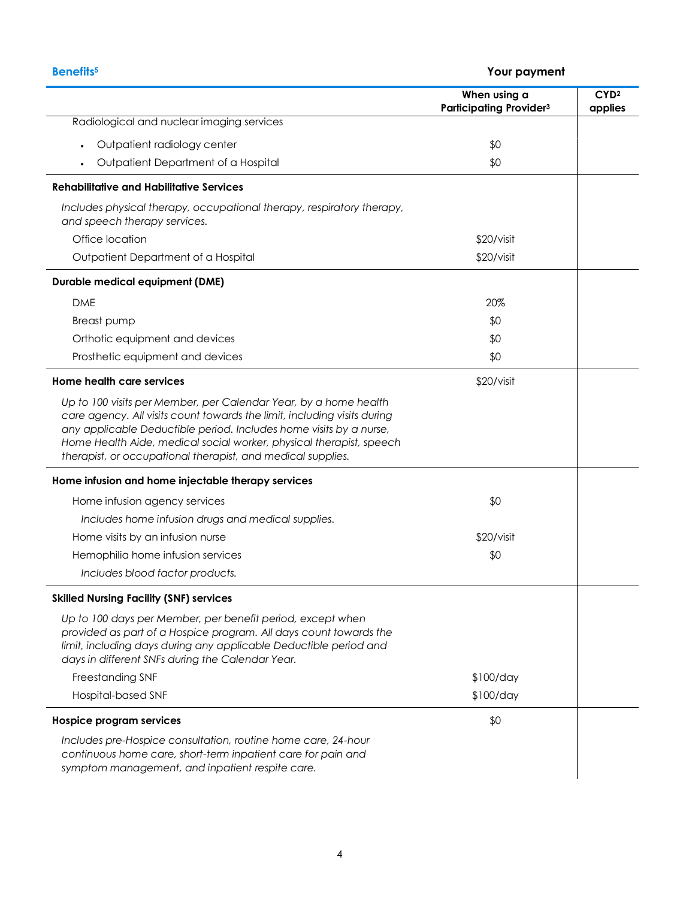|                                                                                                                                                                                                                                                                                                                                                          | When using a<br><b>Participating Provider3</b> | CYD <sup>2</sup><br>applies |
|----------------------------------------------------------------------------------------------------------------------------------------------------------------------------------------------------------------------------------------------------------------------------------------------------------------------------------------------------------|------------------------------------------------|-----------------------------|
| Radiological and nuclear imaging services                                                                                                                                                                                                                                                                                                                |                                                |                             |
| Outpatient radiology center<br>$\bullet$                                                                                                                                                                                                                                                                                                                 | \$0                                            |                             |
| Outpatient Department of a Hospital                                                                                                                                                                                                                                                                                                                      | \$0                                            |                             |
| <b>Rehabilitative and Habilitative Services</b>                                                                                                                                                                                                                                                                                                          |                                                |                             |
| Includes physical therapy, occupational therapy, respiratory therapy,<br>and speech therapy services.                                                                                                                                                                                                                                                    |                                                |                             |
| Office location                                                                                                                                                                                                                                                                                                                                          | \$20/visit                                     |                             |
| Outpatient Department of a Hospital                                                                                                                                                                                                                                                                                                                      | \$20/visit                                     |                             |
| <b>Durable medical equipment (DME)</b>                                                                                                                                                                                                                                                                                                                   |                                                |                             |
| <b>DME</b>                                                                                                                                                                                                                                                                                                                                               | 20%                                            |                             |
| <b>Breast pump</b>                                                                                                                                                                                                                                                                                                                                       | \$0                                            |                             |
| Orthotic equipment and devices                                                                                                                                                                                                                                                                                                                           | \$0                                            |                             |
| Prosthetic equipment and devices                                                                                                                                                                                                                                                                                                                         | \$0                                            |                             |
| Home health care services                                                                                                                                                                                                                                                                                                                                | \$20/visit                                     |                             |
| Up to 100 visits per Member, per Calendar Year, by a home health<br>care agency. All visits count towards the limit, including visits during<br>any applicable Deductible period. Includes home visits by a nurse,<br>Home Health Aide, medical social worker, physical therapist, speech<br>therapist, or occupational therapist, and medical supplies. |                                                |                             |
| Home infusion and home injectable therapy services                                                                                                                                                                                                                                                                                                       |                                                |                             |
| Home infusion agency services                                                                                                                                                                                                                                                                                                                            | \$0                                            |                             |
| Includes home infusion drugs and medical supplies.                                                                                                                                                                                                                                                                                                       |                                                |                             |
| Home visits by an infusion nurse                                                                                                                                                                                                                                                                                                                         | \$20/visit                                     |                             |
| Hemophilia home infusion services                                                                                                                                                                                                                                                                                                                        | \$0                                            |                             |
| Includes blood factor products.                                                                                                                                                                                                                                                                                                                          |                                                |                             |
| <b>Skilled Nursing Facility (SNF) services</b>                                                                                                                                                                                                                                                                                                           |                                                |                             |
| Up to 100 days per Member, per benefit period, except when<br>provided as part of a Hospice program. All days count towards the<br>limit, including days during any applicable Deductible period and<br>days in different SNFs during the Calendar Year.                                                                                                 |                                                |                             |
| Freestanding SNF                                                                                                                                                                                                                                                                                                                                         | \$100/day                                      |                             |
| Hospital-based SNF                                                                                                                                                                                                                                                                                                                                       | \$100/day                                      |                             |
| Hospice program services                                                                                                                                                                                                                                                                                                                                 | \$0                                            |                             |
| Includes pre-Hospice consultation, routine home care, 24-hour<br>continuous home care, short-term inpatient care for pain and<br>symptom management, and inpatient respite care.                                                                                                                                                                         |                                                |                             |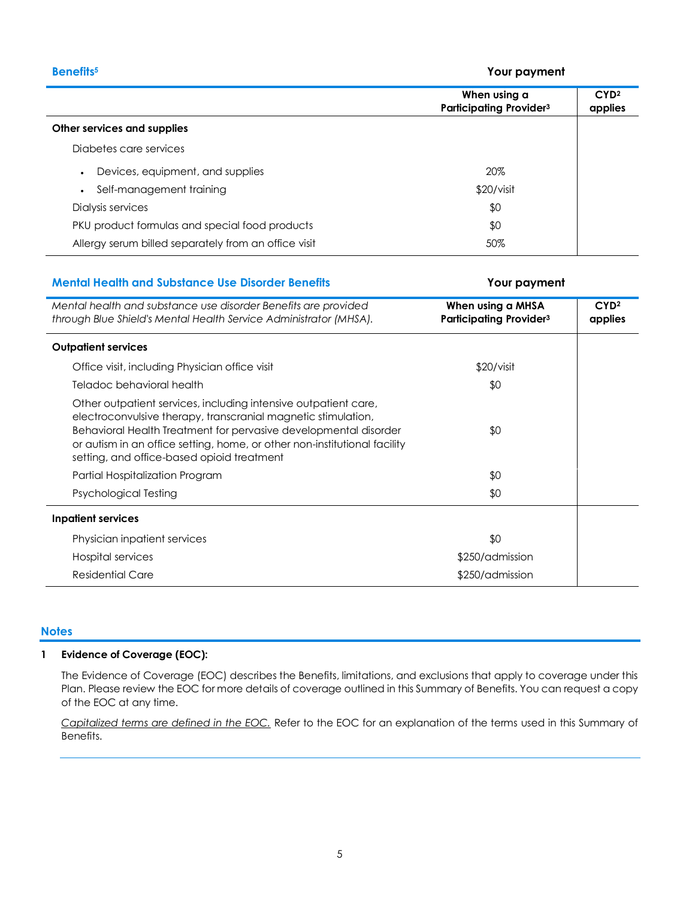**Benefits<sup>5</sup> Your payment**

|                                                      | When using a<br><b>Participating Provider3</b> | CYD <sup>2</sup><br>applies |
|------------------------------------------------------|------------------------------------------------|-----------------------------|
| Other services and supplies                          |                                                |                             |
| Diabetes care services                               |                                                |                             |
| Devices, equipment, and supplies                     | 20%                                            |                             |
| Self-management training                             | \$20/visit                                     |                             |
| Dialysis services                                    | \$0                                            |                             |
| PKU product formulas and special food products       | \$0                                            |                             |
| Allergy serum billed separately from an office visit | 50%                                            |                             |

#### **Mental Health and Substance Use Disorder Benefits Your payment**

### *Mental health and substance use disorder Benefits are provided through Blue Shield's Mental Health Service Administrator (MHSA).* **When using a MHSA Participating Provider<sup>3</sup> CYD<sup>2</sup> applies Outpatient services** Office visit, including Physician office visit  $$20/visit$ Teladoc behavioral health  $\sim$ Other outpatient services, including intensive outpatient care, electroconvulsive therapy, transcranial magnetic stimulation, Behavioral Health Treatment for pervasive developmental disorder or autism in an office setting, home, or other non-institutional facility setting, and office-based opioid treatment \$0 Partial Hospitalization Program  $\sim$  30  $\sim$  30  $\sim$  30  $\sim$  30  $\sim$  30  $\sim$  30  $\sim$  30  $\sim$  30  $\sim$  30  $\sim$  30  $\sim$  30  $\sim$  30  $\sim$  30  $\sim$  30  $\sim$  30  $\sim$  30  $\sim$  30  $\sim$  30  $\sim$  30  $\sim$  30  $\sim$  30  $\sim$  30  $\sim$  30  $\sim$  3 Psychological Testing  $\$0$ **Inpatient services** Physician inpatient services  $\sim$ Hospital services \$250/admission Residential Care  $$250/a$ dmission

#### **Notes**

#### **1 Evidence of Coverage (EOC):**

The Evidence of Coverage (EOC) describes the Benefits, limitations, and exclusions that apply to coverage under this Plan. Please review the EOC for more details of coverage outlined in this Summary of Benefits. You can request a copy of the EOC at any time.

*Capitalized terms are defined in the EOC.* Refer to the EOC for an explanation of the terms used in this Summary of Benefits.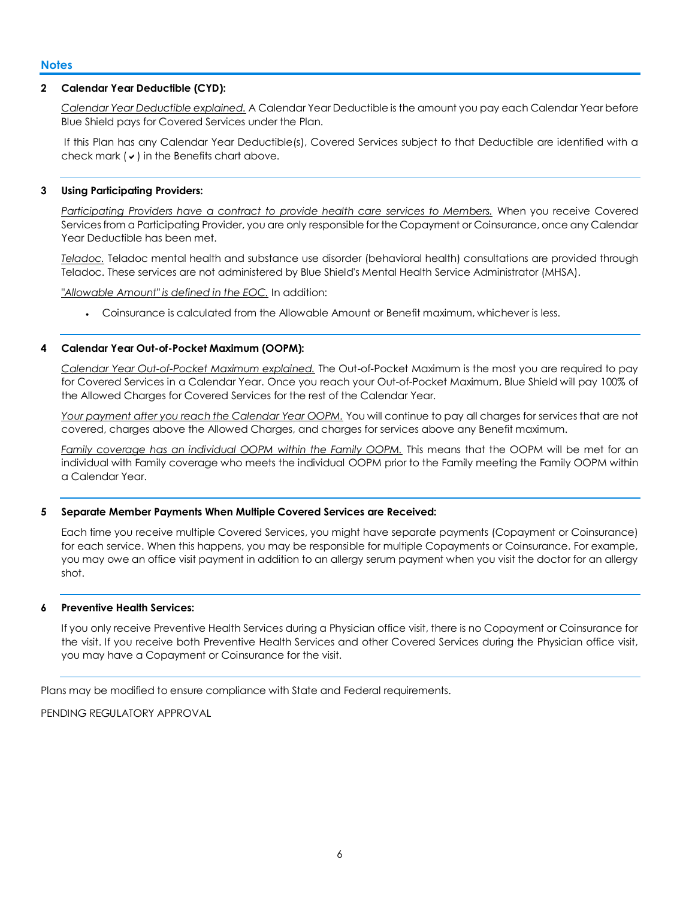#### **2 Calendar Year Deductible (CYD):**

*Calendar Year Deductible explained.* A Calendar Year Deductible is the amount you pay each Calendar Year before Blue Shield pays for Covered Services under the Plan.

If this Plan has any Calendar Year Deductible(s), Covered Services subject to that Deductible are identified with a check mark  $(v)$  in the Benefits chart above.

#### **3 Using Participating Providers:**

*Participating Providers have a contract to provide health care services to Members.* When you receive Covered Services from a Participating Provider, you are only responsible for the Copayment or Coinsurance, once any Calendar Year Deductible has been met.

*Teladoc.* Teladoc mental health and substance use disorder (behavioral health) consultations are provided through Teladoc. These services are not administered by Blue Shield's Mental Health Service Administrator (MHSA).

*"Allowable Amount" is defined in the EOC.* In addition:

Coinsurance is calculated from the Allowable Amount or Benefit maximum, whichever is less.

#### **4 Calendar Year Out-of-Pocket Maximum (OOPM):**

*Calendar Year Out-of-Pocket Maximum explained.* The Out-of-Pocket Maximum is the most you are required to pay for Covered Services in a Calendar Year. Once you reach your Out-of-Pocket Maximum, Blue Shield will pay 100% of the Allowed Charges for Covered Services for the rest of the Calendar Year.

*Your payment after you reach the Calendar Year OOPM.* You will continue to pay all charges for services that are not covered, charges above the Allowed Charges, and charges for services above any Benefit maximum.

*Family coverage has an individual OOPM within the Family OOPM.* This means that the OOPM will be met for an individual with Family coverage who meets the individual OOPM prior to the Family meeting the Family OOPM within a Calendar Year.

#### **5 Separate Member Payments When Multiple Covered Services are Received:**

Each time you receive multiple Covered Services, you might have separate payments (Copayment or Coinsurance) for each service. When this happens, you may be responsible for multiple Copayments or Coinsurance. For example, you may owe an office visit payment in addition to an allergy serum payment when you visit the doctor for an allergy shot.

#### **6 Preventive Health Services:**

If you only receive Preventive Health Services during a Physician office visit, there is no Copayment or Coinsurance for the visit. If you receive both Preventive Health Services and other Covered Services during the Physician office visit, you may have a Copayment or Coinsurance for the visit.

Plans may be modified to ensure compliance with State and Federal requirements.

PENDING REGULATORY APPROVAL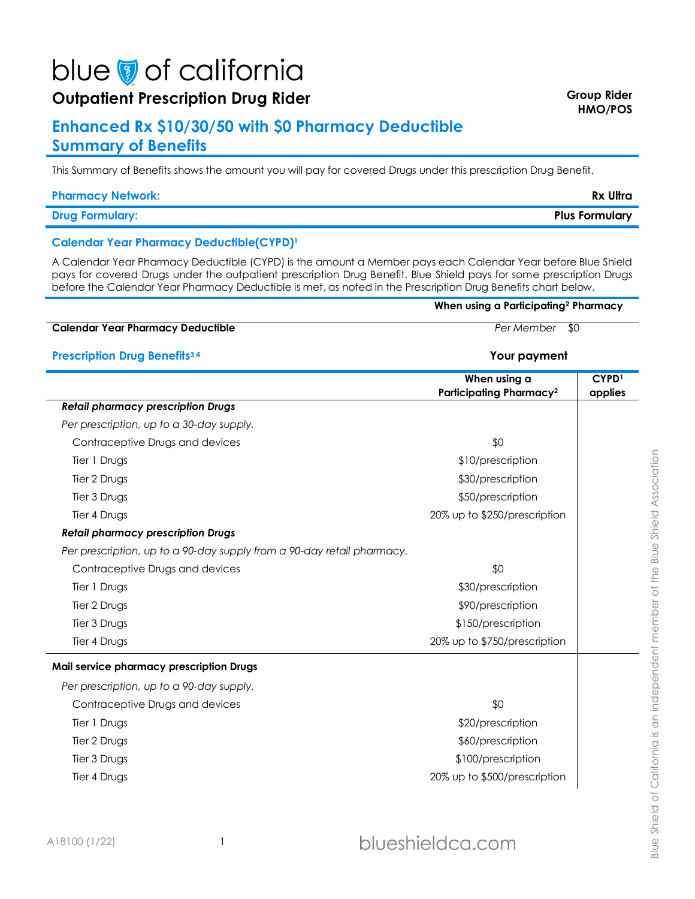# blue of california

# **Outpatient Prescription Drug Rider Group Rider Group Rider Group Rider**

# **Enhanced Rx \$10/30/50 with \$0 Pharmacy Deductible Summary of Benefits**

This Summary of Benefits shows the amount you will pay for covered Drugs under this prescription Drug Benefit.

#### **Pharmacy Network: Rx Ultra**

**Drug Formulary: Plus Formulary**

### **Calendar Year Pharmacy Deductible(CYPD)<sup>1</sup>**

A Calendar Year Pharmacy Deductible (CYPD) is the amount a Member pays each Calendar Year before Blue Shield pays for covered Drugs under the outpatient prescription Drug Benefit. Blue Shield pays for some prescription Drugs before the Calendar Year Pharmacy Deductible is met, as noted in the Prescription Drug Benefits chart below.

#### **When using a Participating<sup>2</sup> Pharmacy**

# **Calendar Year Pharmacy Deductible** *Per Member* \$0

### **Prescription Drug Benefits3,4 Your payment**

|                                                                        | When using a<br>Participating Pharmacy <sup>2</sup> | CYPD <sup>1</sup><br>applies |
|------------------------------------------------------------------------|-----------------------------------------------------|------------------------------|
| <b>Retail pharmacy prescription Drugs</b>                              |                                                     |                              |
| Per prescription, up to a 30-day supply.                               |                                                     |                              |
| Contraceptive Drugs and devices                                        | \$0                                                 |                              |
| Tier 1 Drugs                                                           | \$10/prescription                                   |                              |
| Tier 2 Drugs                                                           | \$30/prescription                                   |                              |
| Tier 3 Drugs                                                           | \$50/prescription                                   |                              |
| Tier 4 Drugs                                                           | 20% up to \$250/prescription                        |                              |
| <b>Retail pharmacy prescription Drugs</b>                              |                                                     |                              |
| Per prescription, up to a 90-day supply from a 90-day retail pharmacy. |                                                     |                              |
| Contraceptive Drugs and devices                                        | \$0                                                 |                              |
| Tier 1 Drugs                                                           | \$30/prescription                                   |                              |
| Tier 2 Drugs                                                           | \$90/prescription                                   |                              |
| Tier 3 Drugs                                                           | \$150/prescription                                  |                              |
| Tier 4 Drugs                                                           | 20% up to \$750/prescription                        |                              |
| Mail service pharmacy prescription Drugs                               |                                                     |                              |
| Per prescription, up to a 90-day supply.                               |                                                     |                              |
| Contraceptive Drugs and devices                                        | \$0                                                 |                              |
| Tier 1 Drugs                                                           | \$20/prescription                                   |                              |
| Tier 2 Drugs                                                           | \$60/prescription                                   |                              |
| Tier 3 Drugs                                                           | \$100/prescription                                  |                              |
| Tier 4 Drugs                                                           | 20% up to \$500/prescription                        |                              |
|                                                                        |                                                     |                              |

**HMO/POS**

Blue Shield of California is an independent member of the Blue Shield Association Blue Shield of California is an independent member of the Blue Shield Association

A18100 (1/22) 1

# blueshieldca.com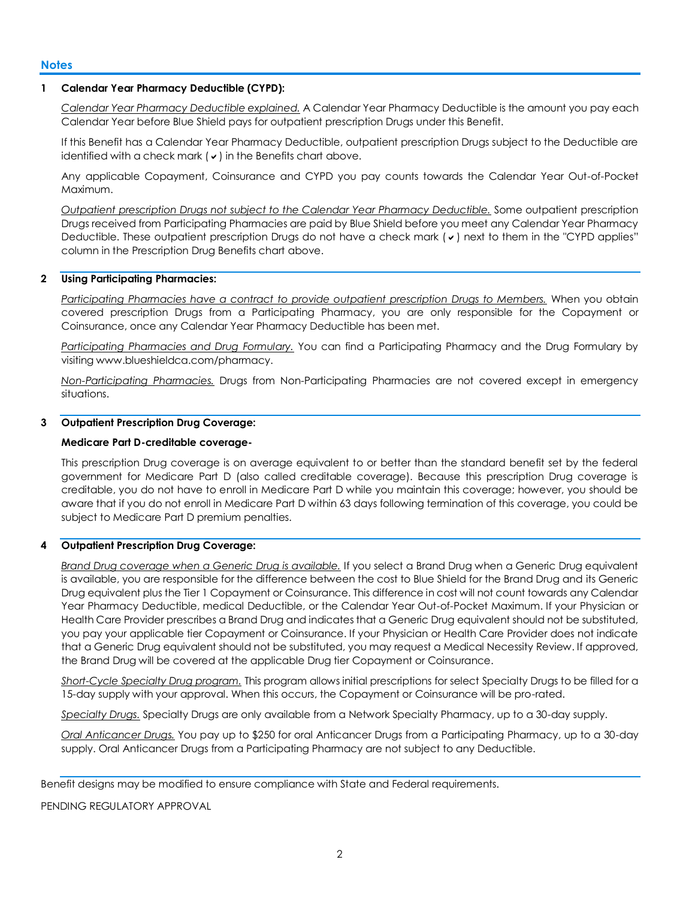#### **Notes**

#### **1 Calendar Year Pharmacy Deductible (CYPD):**

*Calendar Year Pharmacy Deductible explained.* A Calendar Year Pharmacy Deductible is the amount you pay each Calendar Year before Blue Shield pays for outpatient prescription Drugs under this Benefit.

If this Benefit has a Calendar Year Pharmacy Deductible, outpatient prescription Drugs subject to the Deductible are identified with a check mark  $(v)$  in the Benefits chart above.

Any applicable Copayment, Coinsurance and CYPD you pay counts towards the Calendar Year Out-of-Pocket Maximum.

*Outpatient prescription Drugs not subject to the Calendar Year Pharmacy Deductible.* Some outpatient prescription Drugs received from Participating Pharmacies are paid by Blue Shield before you meet any Calendar Year Pharmacy Deductible. These outpatient prescription Drugs do not have a check mark  $(v)$  next to them in the "CYPD applies" column in the Prescription Drug Benefits chart above.

#### **2 Using Participating Pharmacies:**

*Participating Pharmacies have a contract to provide outpatient prescription Drugs to Members.* When you obtain covered prescription Drugs from a Participating Pharmacy, you are only responsible for the Copayment or Coinsurance, once any Calendar Year Pharmacy Deductible has been met.

*Participating Pharmacies and Drug Formulary.* You can find a Participating Pharmacy and the Drug Formulary by visiting www.blueshieldca.com/pharmacy.

*Non-Participating Pharmacies.* Drugs from Non-Participating Pharmacies are not covered except in emergency situations.

#### **3 Outpatient Prescription Drug Coverage:**

#### **Medicare Part D-creditable coverage-**

This prescription Drug coverage is on average equivalent to or better than the standard benefit set by the federal government for Medicare Part D (also called creditable coverage). Because this prescription Drug coverage is creditable, you do not have to enroll in Medicare Part D while you maintain this coverage; however, you should be aware that if you do not enroll in Medicare Part D within 63 days following termination of this coverage, you could be subject to Medicare Part D premium penalties.

#### **4 Outpatient Prescription Drug Coverage:**

*Brand Drug coverage when a Generic Drug is available.* If you select a Brand Drug when a Generic Drug equivalent is available, you are responsible for the difference between the cost to Blue Shield for the Brand Drug and its Generic Drug equivalent plus the Tier 1 Copayment or Coinsurance. This difference in cost will not count towards any Calendar Year Pharmacy Deductible, medical Deductible, or the Calendar Year Out-of-Pocket Maximum. If your Physician or Health Care Provider prescribes a Brand Drug and indicates that a Generic Drug equivalent should not be substituted, you pay your applicable tier Copayment or Coinsurance. If your Physician or Health Care Provider does not indicate that a Generic Drug equivalent should not be substituted, you may request a Medical Necessity Review. If approved, the Brand Drug will be covered at the applicable Drug tier Copayment or Coinsurance.

*Short-Cycle Specialty Drug program.* This program allows initial prescriptions for select Specialty Drugs to be filled for a 15-day supply with your approval. When this occurs, the Copayment or Coinsurance will be pro-rated.

*Specialty Drugs.* Specialty Drugs are only available from a Network Specialty Pharmacy, up to a 30-day supply.

*Oral Anticancer Drugs.* You pay up to \$250 for oral Anticancer Drugs from a Participating Pharmacy, up to a 30-day supply. Oral Anticancer Drugs from a Participating Pharmacy are not subject to any Deductible.

PENDING REGULATORY APPROVAL

Benefit designs may be modified to ensure compliance with State and Federal requirements.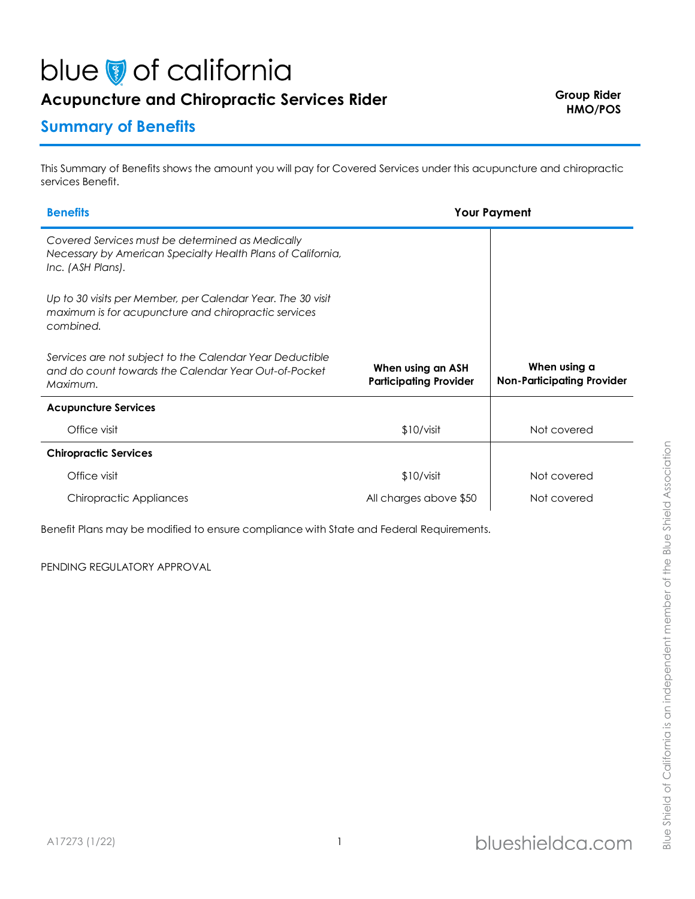# blue of california

# Acupuncture and Chiropractic Services Rider **Figure 2016** Group Rider

# **Summary of Benefits**

This Summary of Benefits shows the amount you will pay for Covered Services under this acupuncture and chiropractic services Benefit.

| <b>Benefits</b>                                                                                                                      | <b>Your Payment</b>                                |                                                   |
|--------------------------------------------------------------------------------------------------------------------------------------|----------------------------------------------------|---------------------------------------------------|
| Covered Services must be determined as Medically<br>Necessary by American Specialty Health Plans of California,<br>Inc. (ASH Plans). |                                                    |                                                   |
| Up to 30 visits per Member, per Calendar Year. The 30 visit<br>maximum is for acupuncture and chiropractic services<br>combined.     |                                                    |                                                   |
| Services are not subject to the Calendar Year Deductible<br>and do count towards the Calendar Year Out-of-Pocket<br>Maximum.         | When using an ASH<br><b>Participating Provider</b> | When using a<br><b>Non-Participating Provider</b> |
| <b>Acupuncture Services</b>                                                                                                          |                                                    |                                                   |
| Office visit                                                                                                                         | \$10/visit                                         | Not covered                                       |
| <b>Chiropractic Services</b>                                                                                                         |                                                    |                                                   |
| Office visit                                                                                                                         | \$10/visit                                         | Not covered                                       |
| Chiropractic Appliances                                                                                                              | All charges above \$50                             | Not covered                                       |

Benefit Plans may be modified to ensure compliance with State and Federal Requirements.

PENDING REGULATORY APPROVAL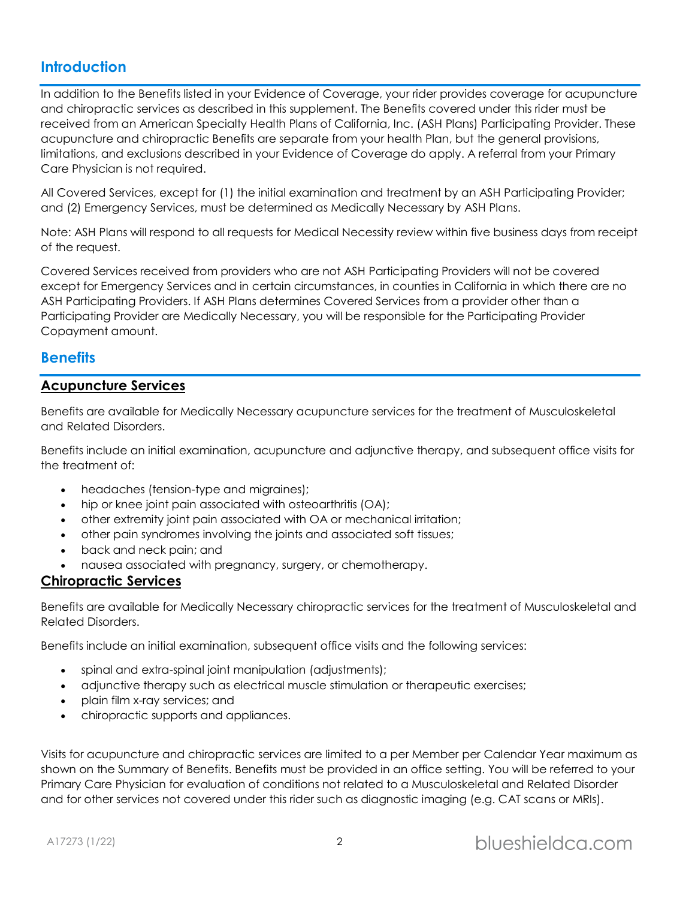# **Introduction**

In addition to the Benefits listed in your Evidence of Coverage, your rider provides coverage for acupuncture and chiropractic services as described in this supplement. The Benefits covered under this rider must be received from an American Specialty Health Plans of California, Inc. (ASH Plans) Participating Provider. These acupuncture and chiropractic Benefits are separate from your health Plan, but the general provisions, limitations, and exclusions described in your Evidence of Coverage do apply. A referral from your Primary Care Physician is not required.

All Covered Services, except for (1) the initial examination and treatment by an ASH Participating Provider; and (2) Emergency Services, must be determined as Medically Necessary by ASH Plans.

Note: ASH Plans will respond to all requests for Medical Necessity review within five business days from receipt of the request.

Covered Services received from providers who are not ASH Participating Providers will not be covered except for Emergency Services and in certain circumstances, in counties in California in which there are no ASH Participating Providers. If ASH Plans determines Covered Services from a provider other than a Participating Provider are Medically Necessary, you will be responsible for the Participating Provider Copayment amount.

# **Benefits**

## **Acupuncture Services**

Benefits are available for Medically Necessary acupuncture services for the treatment of Musculoskeletal and Related Disorders.

Benefits include an initial examination, acupuncture and adjunctive therapy, and subsequent office visits for the treatment of:

- headaches (tension-type and migraines);
- hip or knee joint pain associated with osteoarthritis (OA);
- other extremity joint pain associated with OA or mechanical irritation;
- other pain syndromes involving the joints and associated soft tissues;
- back and neck pain; and
- nausea associated with pregnancy, surgery, or chemotherapy.

## **Chiropractic Services**

Benefits are available for Medically Necessary chiropractic services for the treatment of Musculoskeletal and Related Disorders.

Benefits include an initial examination, subsequent office visits and the following services:

- spinal and extra-spinal joint manipulation (adjustments);
- adjunctive therapy such as electrical muscle stimulation or therapeutic exercises;
- plain film x-ray services; and
- chiropractic supports and appliances.

Visits for acupuncture and chiropractic services are limited to a per Member per Calendar Year maximum as shown on the Summary of Benefits. Benefits must be provided in an office setting. You will be referred to your Primary Care Physician for evaluation of conditions not related to a Musculoskeletal and Related Disorder and for other services not covered under this rider such as diagnostic imaging (e.g. CAT scans or MRIs).